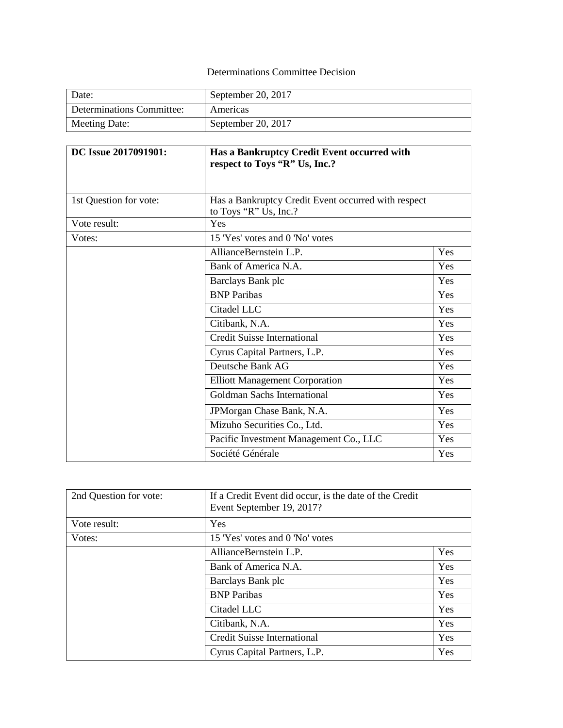## Determinations Committee Decision

| Date:                     | September 20, 2017 |
|---------------------------|--------------------|
| Determinations Committee: | Americas           |
| Meeting Date:             | September 20, 2017 |

| DC Issue 2017091901:   | Has a Bankruptcy Credit Event occurred with<br>respect to Toys "R" Us, Inc.? |     |
|------------------------|------------------------------------------------------------------------------|-----|
|                        |                                                                              |     |
| 1st Question for vote: | Has a Bankruptcy Credit Event occurred with respect<br>to Toys "R" Us, Inc.? |     |
| Vote result:           | Yes                                                                          |     |
| Votes:                 | 15 'Yes' votes and 0 'No' votes                                              |     |
|                        | AllianceBernstein L.P.                                                       | Yes |
|                        | Bank of America N.A.                                                         | Yes |
|                        | Barclays Bank plc                                                            | Yes |
|                        | <b>BNP</b> Paribas                                                           | Yes |
|                        | Citadel LLC                                                                  | Yes |
|                        | Citibank, N.A.                                                               | Yes |
|                        | <b>Credit Suisse International</b>                                           | Yes |
|                        | Cyrus Capital Partners, L.P.                                                 | Yes |
|                        | Deutsche Bank AG                                                             | Yes |
|                        | <b>Elliott Management Corporation</b>                                        | Yes |
|                        | Goldman Sachs International                                                  | Yes |
|                        | JPMorgan Chase Bank, N.A.                                                    | Yes |
|                        | Mizuho Securities Co., Ltd.                                                  | Yes |
|                        | Pacific Investment Management Co., LLC                                       | Yes |
|                        | Société Générale                                                             | Yes |

| 2nd Question for vote: | If a Credit Event did occur, is the date of the Credit<br>Event September 19, 2017? |     |
|------------------------|-------------------------------------------------------------------------------------|-----|
| Vote result:           | Yes                                                                                 |     |
| Votes:                 | 15 'Yes' votes and 0 'No' votes                                                     |     |
|                        | AllianceBernstein L.P.                                                              | Yes |
|                        | Bank of America N.A.                                                                | Yes |
|                        | Barclays Bank plc                                                                   | Yes |
|                        | <b>BNP</b> Paribas                                                                  | Yes |
|                        | Citadel LLC                                                                         | Yes |
|                        | Citibank, N.A.                                                                      | Yes |
|                        | <b>Credit Suisse International</b>                                                  | Yes |
|                        | Cyrus Capital Partners, L.P.                                                        | Yes |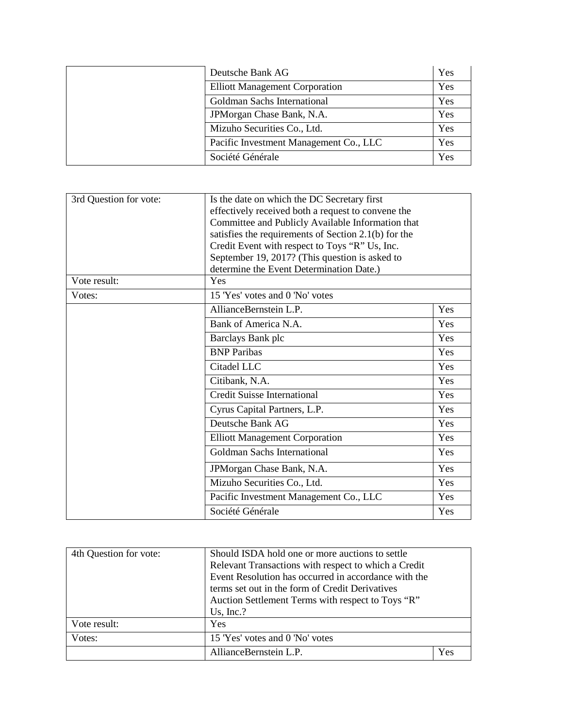| Deutsche Bank AG                       | Yes |
|----------------------------------------|-----|
| <b>Elliott Management Corporation</b>  | Yes |
| Goldman Sachs International            | Yes |
| JPM organ Chase Bank, N.A.             | Yes |
| Mizuho Securities Co., Ltd.            | Yes |
| Pacific Investment Management Co., LLC | Yes |
| Société Générale                       | Yes |

| Is the date on which the DC Secretary first          |     |
|------------------------------------------------------|-----|
| effectively received both a request to convene the   |     |
| Committee and Publicly Available Information that    |     |
| satisfies the requirements of Section 2.1(b) for the |     |
| Credit Event with respect to Toys "R" Us, Inc.       |     |
| September 19, 2017? (This question is asked to       |     |
| determine the Event Determination Date.)             |     |
| Yes                                                  |     |
| 15 'Yes' votes and 0 'No' votes                      |     |
| AllianceBernstein L.P.                               | Yes |
| Bank of America N.A.                                 | Yes |
| Barclays Bank plc                                    | Yes |
| <b>BNP</b> Paribas                                   | Yes |
| Citadel LLC                                          | Yes |
| Citibank, N.A.                                       | Yes |
| <b>Credit Suisse International</b>                   | Yes |
| Cyrus Capital Partners, L.P.                         | Yes |
| Deutsche Bank AG                                     | Yes |
| <b>Elliott Management Corporation</b>                | Yes |
| <b>Goldman Sachs International</b>                   | Yes |
| JPMorgan Chase Bank, N.A.                            | Yes |
| Mizuho Securities Co., Ltd.                          | Yes |
| Pacific Investment Management Co., LLC               | Yes |
| Société Générale                                     | Yes |
|                                                      |     |

| 4th Question for vote: | Should ISDA hold one or more auctions to settle<br>Relevant Transactions with respect to which a Credit<br>Event Resolution has occurred in accordance with the<br>terms set out in the form of Credit Derivatives<br>Auction Settlement Terms with respect to Toys "R"<br>Us, $Inc$ .? |     |
|------------------------|-----------------------------------------------------------------------------------------------------------------------------------------------------------------------------------------------------------------------------------------------------------------------------------------|-----|
| Vote result:           | <b>Yes</b>                                                                                                                                                                                                                                                                              |     |
| Votes:                 | 15 'Yes' votes and 0 'No' votes                                                                                                                                                                                                                                                         |     |
|                        | AllianceBernstein L.P.                                                                                                                                                                                                                                                                  | Yes |